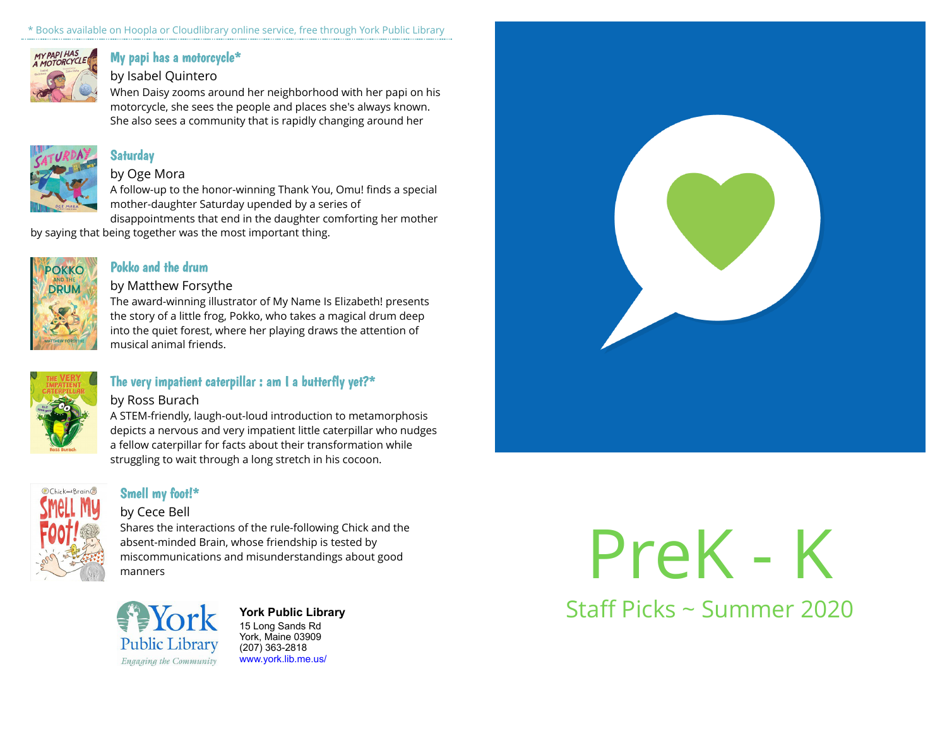\* Books available on Hoopla or Cloudlibrary online service, free through York Public Library



## [My papi has a motorcycle\\*](https://libraryaware.com/23RJTV)

## by Isabel Quintero

When Daisy zooms around her neighborhood with her papi on his motorcycle, she sees the people and places she's always known. She also sees a community that is rapidly changing around her



# **[Saturday](https://libraryaware.com/23RJTW)**

#### by Oge Mora

A follow-up to the honor-winning Thank You, Omu! finds a special mother-daughter Saturday upended by a series of disappointments that end in the daughter comforting her mother

by saying that being together was the most important thing.



## [Pokko and the drum](https://libraryaware.com/23RJTX)

### by Matthew Forsythe

The award-winning illustrator of My Name Is Elizabeth! presents the story of a little frog, Pokko, who takes a magical drum deep into the quiet forest, where her playing draws the attention of musical animal friends.



# [The very impatient caterpillar : am I a butterfly yet?\\*](https://libraryaware.com/23RJTZ)

#### by Ross Burach

A STEM-friendly, laugh-out-loud introduction to metamorphosis depicts a nervous and very impatient little caterpillar who nudges a fellow caterpillar for facts about their transformation while struggling to wait through a long stretch in his cocoon.



# [Smell my foot!\\*](https://libraryaware.com/23RJV1)

## by Cece Bell

Shares the interactions of the rule-following Chick and the absent-minded Brain, whose friendship is tested by miscommunications and misunderstandings about good manners



 $\mathbf{F}$  **FIOIK** 15 Long Sands Rd York, Maine 03909 (207) 363-2818 [www.york.lib.me.us/](https://libraryaware.com/23RJV2)

PreK - K

**York Public Library** Staff Picks ~ Summer 2020